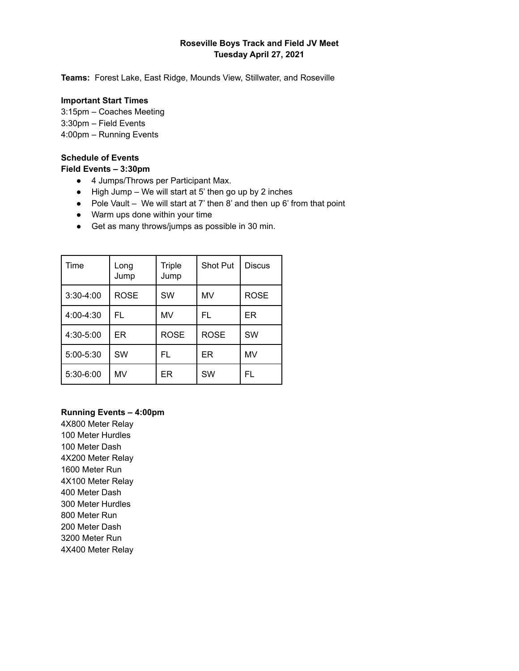# **Roseville Boys Track and Field JV Meet Tuesday April 27, 2021**

**Teams:** Forest Lake, East Ridge, Mounds View, Stillwater, and Roseville

#### **Important Start Times**

3:15pm – Coaches Meeting

- 3:30pm Field Events
- 4:00pm Running Events

# **Schedule of Events**

### **Field Events – 3:30pm**

- 4 Jumps/Throws per Participant Max.
- $\bullet$  High Jump We will start at 5' then go up by 2 inches
- Pole Vault We will start at 7' then 8' and then up 6' from that point
- Warm ups done within your time
- Get as many throws/jumps as possible in 30 min.

| Time          | Long<br>Jump | <b>Triple</b><br>Jump | <b>Shot Put</b> | <b>Discus</b> |
|---------------|--------------|-----------------------|-----------------|---------------|
| $3:30-4:00$   | <b>ROSE</b>  | <b>SW</b>             | MV              | <b>ROSE</b>   |
| 4:00-4:30     | FL           | MV                    | FL              | ER            |
| $4:30 - 5:00$ | ER           | <b>ROSE</b>           | <b>ROSE</b>     | <b>SW</b>     |
| 5:00-5:30     | <b>SW</b>    | FL                    | ER              | MV            |
| 5:30-6:00     | MV           | ER                    | SW              | FL            |

### **Running Events – 4:00pm**

4X800 Meter Relay Meter Hurdles Meter Dash 4X200 Meter Relay Meter Run 4X100 Meter Relay Meter Dash Meter Hurdles Meter Run Meter Dash Meter Run 4X400 Meter Relay